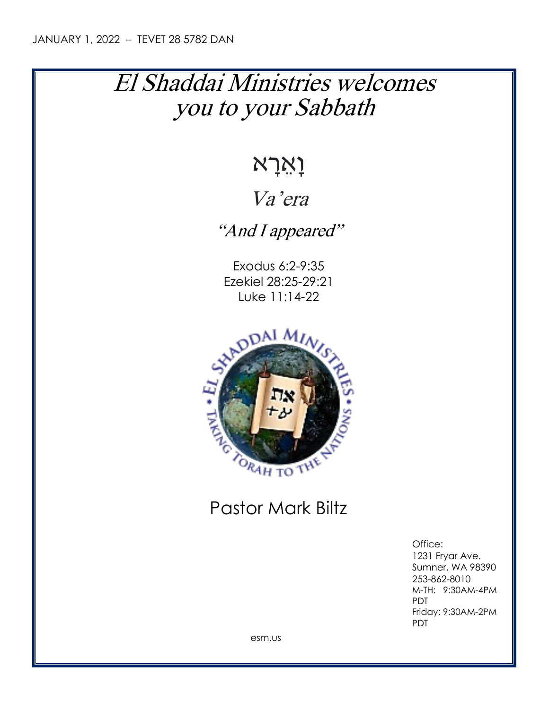# El Shaddai Ministries welcomes you to your Sabbath

# וָאֵ רָ א

### Va'era

"And I appeared"

Exodus 6:2-9:35 Ezekiel 28:25-29:21 Luke 11:14-22



## Pastor Mark Biltz

Office: 1231 Fryar Ave. Sumner, WA 98390 253-862-8010 M-TH: 9:30AM-4PM PDT Friday: 9:30AM-2PM PDT

esm.us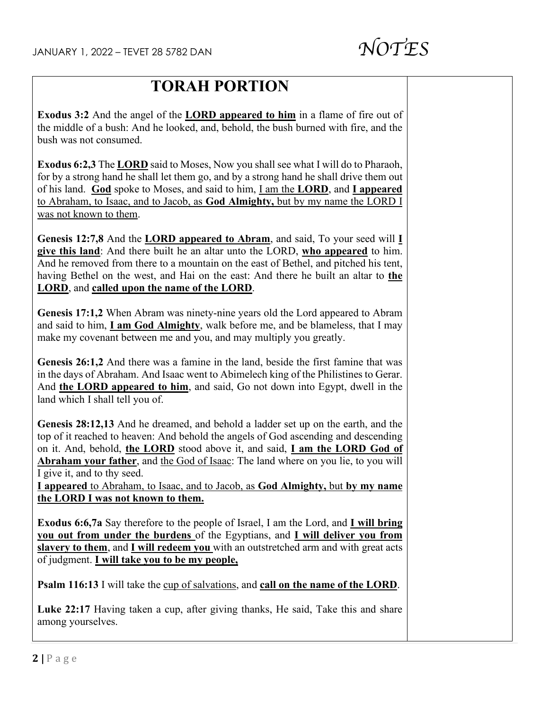

#### **TORAH PORTION**

**Exodus 3:2** And the angel of the **LORD appeared to him** in a flame of fire out of the middle of a bush: And he looked, and, behold, the bush burned with fire, and the bush was not consumed.

**Exodus 6:2,3** The **LORD** said to Moses, Now you shall see what I will do to Pharaoh, for by a strong hand he shall let them go, and by a strong hand he shall drive them out of his land. **God** spoke to Moses, and said to him, I am the **LORD**, and **I appeared** to Abraham, to Isaac, and to Jacob, as **God Almighty,** but by my name the LORD I was not known to them.

**Genesis 12:7,8** And the **LORD appeared to Abram**, and said, To your seed will **I give this land**: And there built he an altar unto the LORD, **who appeared** to him. And he removed from there to a mountain on the east of Bethel, and pitched his tent, having Bethel on the west, and Hai on the east: And there he built an altar to **the LORD**, and **called upon the name of the LORD**.

**Genesis 17:1,2** When Abram was ninety-nine years old the Lord appeared to Abram and said to him, **I am God Almighty**, walk before me, and be blameless, that I may make my covenant between me and you, and may multiply you greatly.

**Genesis 26:1,2** And there was a famine in the land, beside the first famine that was in the days of Abraham. And Isaac went to Abimelech king of the Philistines to Gerar. And **the LORD appeared to him**, and said, Go not down into Egypt, dwell in the land which I shall tell you of.

**Genesis 28:12,13** And he dreamed, and behold a ladder set up on the earth, and the top of it reached to heaven: And behold the angels of God ascending and descending on it. And, behold, **the LORD** stood above it, and said, **I am the LORD God of Abraham your father**, and the God of Isaac: The land where on you lie, to you will I give it, and to thy seed.

**I appeared** to Abraham, to Isaac, and to Jacob, as **God Almighty,** but **by my name the LORD I was not known to them.**

**Exodus 6:6,7a** Say therefore to the people of Israel, I am the Lord, and **I will bring you out from under the burdens** of the Egyptians, and **I will deliver you from slavery to them**, and **I will redeem you** with an outstretched arm and with great acts of judgment. **I will take you to be my people,**

**Psalm 116:13** I will take the cup of salvations, and **call on the name of the LORD**.

**Luke 22:17** Having taken a cup, after giving thanks, He said, Take this and share among yourselves.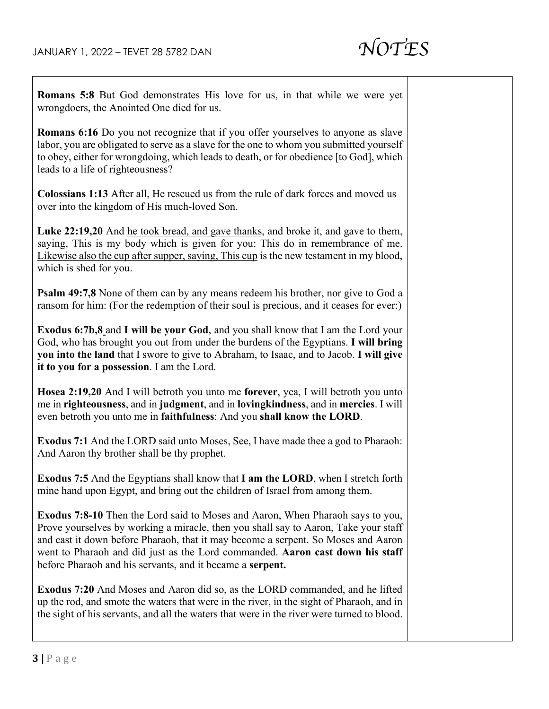

| Romans 5:8 But God demonstrates His love for us, in that while we were yet<br>wrongdoers, the Anointed One died for us.                                                                                                                                                                                                                                                                                         |  |
|-----------------------------------------------------------------------------------------------------------------------------------------------------------------------------------------------------------------------------------------------------------------------------------------------------------------------------------------------------------------------------------------------------------------|--|
| Romans 6:16 Do you not recognize that if you offer yourselves to anyone as slave<br>labor, you are obligated to serve as a slave for the one to whom you submitted yourself<br>to obey, either for wrongdoing, which leads to death, or for obedience [to God], which<br>leads to a life of righteousness?                                                                                                      |  |
| Colossians 1:13 After all, He rescued us from the rule of dark forces and moved us<br>over into the kingdom of His much-loved Son.                                                                                                                                                                                                                                                                              |  |
| Luke 22:19,20 And he took bread, and gave thanks, and broke it, and gave to them,<br>saying, This is my body which is given for you: This do in remembrance of me.<br>Likewise also the cup after supper, saying, This cup is the new testament in my blood,<br>which is shed for you.                                                                                                                          |  |
| Psalm 49:7,8 None of them can by any means redeem his brother, nor give to God a<br>ransom for him: (For the redemption of their soul is precious, and it ceases for ever:)                                                                                                                                                                                                                                     |  |
| Exodus 6:7b,8 and I will be your God, and you shall know that I am the Lord your<br>God, who has brought you out from under the burdens of the Egyptians. I will bring<br>you into the land that I swore to give to Abraham, to Isaac, and to Jacob. I will give<br>it to you for a possession. I am the Lord.                                                                                                  |  |
| Hosea 2:19,20 And I will betroth you unto me forever, yea, I will betroth you unto<br>me in righteousness, and in judgment, and in lovingkindness, and in mercies. I will<br>even betroth you unto me in faithfulness: And you shall know the LORD.                                                                                                                                                             |  |
| <b>Exodus 7:1</b> And the LORD said unto Moses, See, I have made thee a god to Pharaoh:<br>And Aaron thy brother shall be thy prophet.                                                                                                                                                                                                                                                                          |  |
| Exodus 7:5 And the Egyptians shall know that I am the LORD, when I stretch forth<br>mine hand upon Egypt, and bring out the children of Israel from among them.                                                                                                                                                                                                                                                 |  |
| <b>Exodus 7:8-10</b> Then the Lord said to Moses and Aaron, When Pharaoh says to you,<br>Prove yourselves by working a miracle, then you shall say to Aaron, Take your staff<br>and cast it down before Pharaoh, that it may become a serpent. So Moses and Aaron<br>went to Pharaoh and did just as the Lord commanded. Aaron cast down his staff<br>before Pharaoh and his servants, and it became a serpent. |  |
| <b>Exodus 7:20</b> And Moses and Aaron did so, as the LORD commanded, and he lifted<br>up the rod, and smote the waters that were in the river, in the sight of Pharaoh, and in<br>the sight of his servants, and all the waters that were in the river were turned to blood.                                                                                                                                   |  |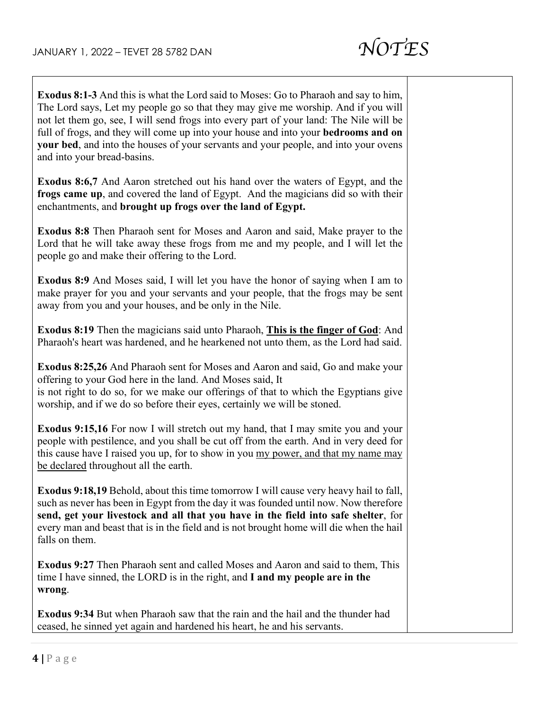$\overline{\Gamma}$ 

Τ

 $\overline{\phantom{a}}$ 

| <b>Exodus 8:1-3</b> And this is what the Lord said to Moses: Go to Pharaoh and say to him,<br>The Lord says, Let my people go so that they may give me worship. And if you will<br>not let them go, see, I will send frogs into every part of your land: The Nile will be<br>full of frogs, and they will come up into your house and into your bedrooms and on<br>your bed, and into the houses of your servants and your people, and into your ovens<br>and into your bread-basins. |
|---------------------------------------------------------------------------------------------------------------------------------------------------------------------------------------------------------------------------------------------------------------------------------------------------------------------------------------------------------------------------------------------------------------------------------------------------------------------------------------|
| <b>Exodus 8:6,7</b> And Aaron stretched out his hand over the waters of Egypt, and the<br>frogs came up, and covered the land of Egypt. And the magicians did so with their<br>enchantments, and brought up frogs over the land of Egypt.                                                                                                                                                                                                                                             |
| <b>Exodus 8:8</b> Then Pharaoh sent for Moses and Aaron and said, Make prayer to the<br>Lord that he will take away these frogs from me and my people, and I will let the<br>people go and make their offering to the Lord.                                                                                                                                                                                                                                                           |
| <b>Exodus 8:9</b> And Moses said, I will let you have the honor of saying when I am to<br>make prayer for you and your servants and your people, that the frogs may be sent<br>away from you and your houses, and be only in the Nile.                                                                                                                                                                                                                                                |
| Exodus 8:19 Then the magicians said unto Pharaoh, This is the finger of God: And<br>Pharaoh's heart was hardened, and he hearkened not unto them, as the Lord had said.                                                                                                                                                                                                                                                                                                               |
| <b>Exodus 8:25,26</b> And Pharaoh sent for Moses and Aaron and said, Go and make your<br>offering to your God here in the land. And Moses said, It<br>is not right to do so, for we make our offerings of that to which the Egyptians give<br>worship, and if we do so before their eyes, certainly we will be stoned.                                                                                                                                                                |
| <b>Exodus 9:15,16</b> For now I will stretch out my hand, that I may smite you and your<br>people with pestilence, and you shall be cut off from the earth. And in very deed for<br>this cause have I raised you up, for to show in you my power, and that my name may<br>be declared throughout all the earth.                                                                                                                                                                       |
| <b>Exodus 9:18,19</b> Behold, about this time tomorrow I will cause very heavy hail to fall,<br>such as never has been in Egypt from the day it was founded until now. Now therefore<br>send, get your livestock and all that you have in the field into safe shelter, for<br>every man and beast that is in the field and is not brought home will die when the hail<br>falls on them.                                                                                               |
| <b>Exodus 9:27</b> Then Pharaoh sent and called Moses and Aaron and said to them, This<br>time I have sinned, the LORD is in the right, and I and my people are in the<br>wrong.                                                                                                                                                                                                                                                                                                      |
| <b>Exodus 9:34</b> But when Pharaoh saw that the rain and the hail and the thunder had<br>ceased, he sinned yet again and hardened his heart, he and his servants.                                                                                                                                                                                                                                                                                                                    |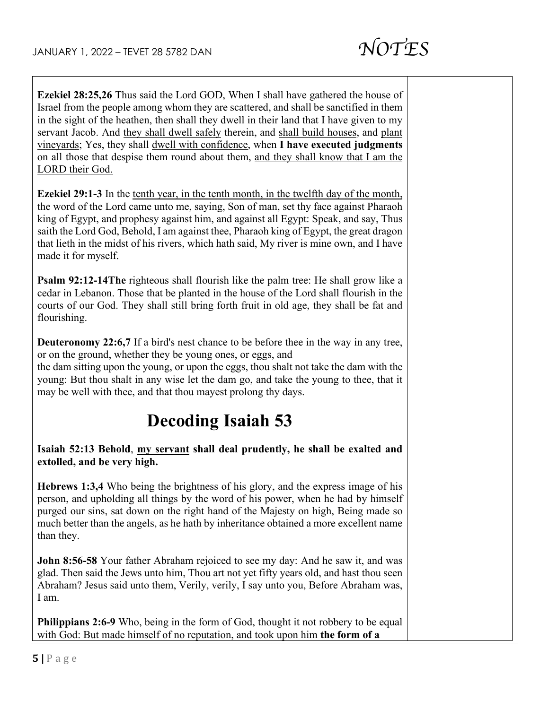in the sight of the heathen, then shall they dwell in their land that I have given to my servant Jacob. And they shall dwell safely therein, and shall build houses, and plant vineyards; Yes, they shall dwell with confidence, when **I have executed judgments** on all those that despise them round about them, and they shall know that I am the LORD their God. **Ezekiel 29:1-3** In the tenth year, in the tenth month, in the twelfth day of the month, the word of the Lord came unto me, saying, Son of man, set thy face against Pharaoh king of Egypt, and prophesy against him, and against all Egypt: Speak, and say, Thus saith the Lord God, Behold, I am against thee, Pharaoh king of Egypt, the great dragon that lieth in the midst of his rivers, which hath said, My river is mine own, and I have made it for myself. **Psalm 92:12-14The** righteous shall flourish like the palm tree: He shall grow like a cedar in Lebanon. Those that be planted in the house of the Lord shall flourish in the courts of our God. They shall still bring forth fruit in old age, they shall be fat and flourishing. **Deuteronomy 22:6,7** If a bird's nest chance to be before thee in the way in any tree, or on the ground, whether they be young ones, or eggs, and the dam sitting upon the young, or upon the eggs, thou shalt not take the dam with the young: But thou shalt in any wise let the dam go, and take the young to thee, that it may be well with thee, and that thou mayest prolong thy days. **Decoding Isaiah 53 Isaiah 52:13 Behold**, **my servant shall deal prudently, he shall be exalted and extolled, and be very high. Hebrews 1:3,4** Who being the brightness of his glory, and the express image of his person, and upholding all things by the word of his power, when he had by himself purged our sins, sat down on the right hand of the Majesty on high, Being made so much better than the angels, as he hath by inheritance obtained a more excellent name than they. **John 8:56-58** Your father Abraham rejoiced to see my day: And he saw it, and was glad. Then said the Jews unto him, Thou art not yet fifty years old, and hast thou seen Abraham? Jesus said unto them, Verily, verily, I say unto you, Before Abraham was, I am. **Philippians 2:6-9** Who, being in the form of God, thought it not robbery to be equal with God: But made himself of no reputation, and took upon him **the form of a** 

**Ezekiel 28:25,26** Thus said the Lord GOD, When I shall have gathered the house of Israel from the people among whom they are scattered, and shall be sanctified in them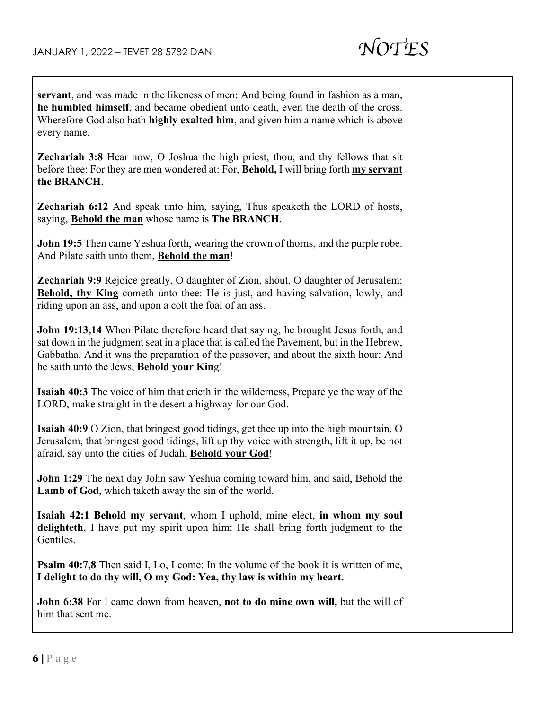

| servant, and was made in the likeness of men: And being found in fashion as a man,<br>he humbled himself, and became obedient unto death, even the death of the cross.<br>Wherefore God also hath highly exalted him, and given him a name which is above<br>every name.                                           |  |
|--------------------------------------------------------------------------------------------------------------------------------------------------------------------------------------------------------------------------------------------------------------------------------------------------------------------|--|
| Zechariah 3:8 Hear now, O Joshua the high priest, thou, and thy fellows that sit<br>before thee: For they are men wondered at: For, Behold, I will bring forth my servant<br>the BRANCH.                                                                                                                           |  |
| <b>Zechariah 6:12</b> And speak unto him, saying, Thus speaketh the LORD of hosts,<br>saying, Behold the man whose name is The BRANCH.                                                                                                                                                                             |  |
| <b>John 19:5</b> Then came Yeshua forth, wearing the crown of thorns, and the purple robe.<br>And Pilate saith unto them, Behold the man!                                                                                                                                                                          |  |
| <b>Zechariah 9:9</b> Rejoice greatly, O daughter of Zion, shout, O daughter of Jerusalem:<br><b>Behold, thy King</b> cometh unto thee: He is just, and having salvation, lowly, and<br>riding upon an ass, and upon a colt the foal of an ass.                                                                     |  |
| John 19:13,14 When Pilate therefore heard that saying, he brought Jesus forth, and<br>sat down in the judgment seat in a place that is called the Pavement, but in the Hebrew,<br>Gabbatha. And it was the preparation of the passover, and about the sixth hour: And<br>he saith unto the Jews, Behold your King! |  |
| <b>Isaiah 40:3</b> The voice of him that crieth in the wilderness, Prepare ye the way of the<br>LORD, make straight in the desert a highway for our God.                                                                                                                                                           |  |
| <b>Isaiah 40:9</b> O Zion, that bringest good tidings, get thee up into the high mountain, O<br>Jerusalem, that bringest good tidings, lift up thy voice with strength, lift it up, be not<br>afraid, say unto the cities of Judah, Behold your God!                                                               |  |
| John 1:29 The next day John saw Yeshua coming toward him, and said, Behold the<br><b>Lamb of God</b> , which taketh away the sin of the world.                                                                                                                                                                     |  |
| Isaiah 42:1 Behold my servant, whom I uphold, mine elect, in whom my soul<br>delighteth, I have put my spirit upon him: He shall bring forth judgment to the<br>Gentiles.                                                                                                                                          |  |
| <b>Psalm 40:7,8</b> Then said I, Lo, I come: In the volume of the book it is written of me,<br>I delight to do thy will, O my God: Yea, thy law is within my heart.                                                                                                                                                |  |
| John 6:38 For I came down from heaven, not to do mine own will, but the will of<br>him that sent me.                                                                                                                                                                                                               |  |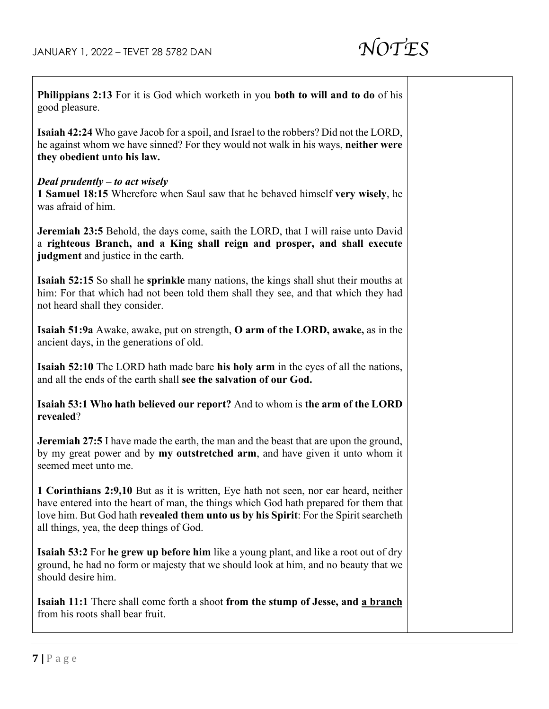

Τ

| <b>Philippians 2:13</b> For it is God which worketh in you both to will and to do of his<br>good pleasure.                                                                                                                                                                                                       |  |
|------------------------------------------------------------------------------------------------------------------------------------------------------------------------------------------------------------------------------------------------------------------------------------------------------------------|--|
| <b>Isaiah 42:24</b> Who gave Jacob for a spoil, and Israel to the robbers? Did not the LORD,<br>he against whom we have sinned? For they would not walk in his ways, neither were<br>they obedient unto his law.                                                                                                 |  |
| Deal prudently $-$ to act wisely<br>1 Samuel 18:15 Wherefore when Saul saw that he behaved himself very wisely, he<br>was afraid of him.                                                                                                                                                                         |  |
| <b>Jeremiah 23:5</b> Behold, the days come, saith the LORD, that I will raise unto David<br>a righteous Branch, and a King shall reign and prosper, and shall execute<br>judgment and justice in the earth.                                                                                                      |  |
| <b>Isaiah 52:15</b> So shall he <b>sprinkle</b> many nations, the kings shall shut their mouths at<br>him: For that which had not been told them shall they see, and that which they had<br>not heard shall they consider.                                                                                       |  |
| Isaiah 51:9a Awake, awake, put on strength, O arm of the LORD, awake, as in the<br>ancient days, in the generations of old.                                                                                                                                                                                      |  |
| <b>Isaiah 52:10</b> The LORD hath made bare his holy arm in the eyes of all the nations,<br>and all the ends of the earth shall see the salvation of our God.                                                                                                                                                    |  |
| Isaiah 53:1 Who hath believed our report? And to whom is the arm of the LORD<br>revealed?                                                                                                                                                                                                                        |  |
| <b>Jeremiah 27:5</b> I have made the earth, the man and the beast that are upon the ground,<br>by my great power and by my outstretched arm, and have given it unto whom it<br>seemed meet unto me.                                                                                                              |  |
| 1 Corinthians 2:9,10 But as it is written, Eye hath not seen, nor ear heard, neither<br>have entered into the heart of man, the things which God hath prepared for them that<br>love him. But God hath revealed them unto us by his Spirit: For the Spirit searcheth<br>all things, yea, the deep things of God. |  |
| <b>Isaiah 53:2</b> For he grew up before him like a young plant, and like a root out of dry<br>ground, he had no form or majesty that we should look at him, and no beauty that we<br>should desire him.                                                                                                         |  |
| <b>Isaiah 11:1</b> There shall come forth a shoot from the stump of Jesse, and a branch<br>from his roots shall bear fruit.                                                                                                                                                                                      |  |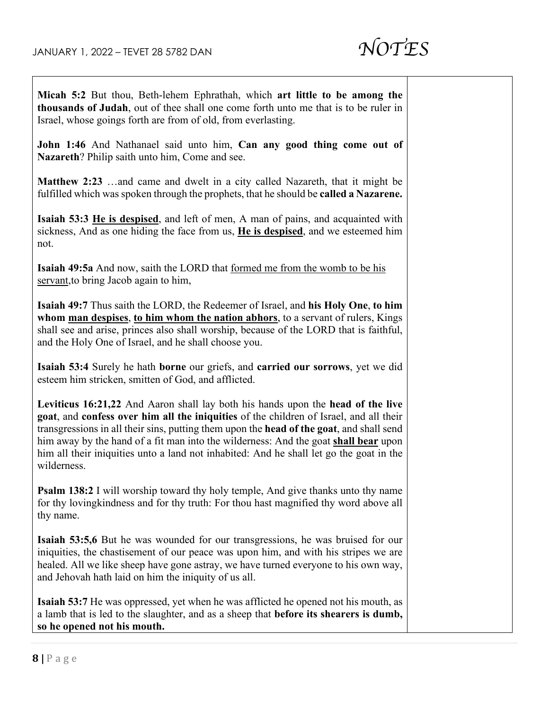

| Micah 5:2 But thou, Beth-lehem Ephrathah, which art little to be among the<br>thousands of Judah, out of thee shall one come forth unto me that is to be ruler in<br>Israel, whose goings forth are from of old, from everlasting.                                                                                                                                                                                                                                     |
|------------------------------------------------------------------------------------------------------------------------------------------------------------------------------------------------------------------------------------------------------------------------------------------------------------------------------------------------------------------------------------------------------------------------------------------------------------------------|
| John 1:46 And Nathanael said unto him, Can any good thing come out of<br>Nazareth? Philip saith unto him, Come and see.                                                                                                                                                                                                                                                                                                                                                |
| <b>Matthew 2:23</b> and came and dwelt in a city called Nazareth, that it might be<br>fulfilled which was spoken through the prophets, that he should be called a Nazarene.                                                                                                                                                                                                                                                                                            |
| <b>Isaiah 53:3 He is despised</b> , and left of men, A man of pains, and acquainted with<br>sickness, And as one hiding the face from us, He is despised, and we esteemed him<br>not.                                                                                                                                                                                                                                                                                  |
| <b>Isaiah 49:5a</b> And now, saith the LORD that <u>formed me from the womb to be his</u><br>servant, to bring Jacob again to him,                                                                                                                                                                                                                                                                                                                                     |
| Isaiah 49:7 Thus saith the LORD, the Redeemer of Israel, and his Holy One, to him<br>whom man despises, to him whom the nation abhors, to a servant of rulers, Kings<br>shall see and arise, princes also shall worship, because of the LORD that is faithful,<br>and the Holy One of Israel, and he shall choose you.                                                                                                                                                 |
| Isaiah 53:4 Surely he hath borne our griefs, and carried our sorrows, yet we did<br>esteem him stricken, smitten of God, and afflicted.                                                                                                                                                                                                                                                                                                                                |
| Leviticus 16:21,22 And Aaron shall lay both his hands upon the head of the live<br>goat, and confess over him all the iniquities of the children of Israel, and all their<br>transgressions in all their sins, putting them upon the head of the goat, and shall send<br>him away by the hand of a fit man into the wilderness: And the goat shall bear upon<br>him all their iniquities unto a land not inhabited: And he shall let go the goat in the<br>wilderness. |
| <b>Psalm 138:2</b> I will worship toward thy holy temple, And give thanks unto thy name<br>for thy loving kindness and for thy truth: For thou hast magnified thy word above all<br>thy name.                                                                                                                                                                                                                                                                          |
| <b>Isaiah 53:5,6</b> But he was wounded for our transgressions, he was bruised for our<br>iniquities, the chastisement of our peace was upon him, and with his stripes we are<br>healed. All we like sheep have gone astray, we have turned everyone to his own way,<br>and Jehovah hath laid on him the iniquity of us all.                                                                                                                                           |
| <b>Isaiah 53:7</b> He was oppressed, yet when he was afflicted he opened not his mouth, as<br>a lamb that is led to the slaughter, and as a sheep that before its shearers is dumb,<br>so he opened not his mouth.                                                                                                                                                                                                                                                     |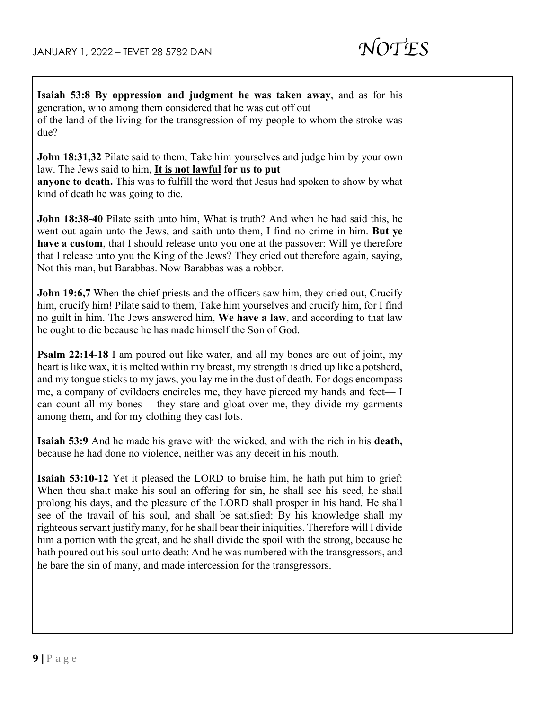

| Isaiah 53:8 By oppression and judgment he was taken away, and as for his<br>generation, who among them considered that he was cut off out<br>of the land of the living for the transgression of my people to whom the stroke was<br>due?                                                                                                                                                                                                                                                                                                                                                                                                                                                                            |  |
|---------------------------------------------------------------------------------------------------------------------------------------------------------------------------------------------------------------------------------------------------------------------------------------------------------------------------------------------------------------------------------------------------------------------------------------------------------------------------------------------------------------------------------------------------------------------------------------------------------------------------------------------------------------------------------------------------------------------|--|
| John 18:31,32 Pilate said to them, Take him yourselves and judge him by your own<br>law. The Jews said to him, It is not lawful for us to put<br>anyone to death. This was to fulfill the word that Jesus had spoken to show by what<br>kind of death he was going to die.                                                                                                                                                                                                                                                                                                                                                                                                                                          |  |
| <b>John 18:38-40</b> Pilate saith unto him, What is truth? And when he had said this, he<br>went out again unto the Jews, and saith unto them, I find no crime in him. But ye<br>have a custom, that I should release unto you one at the passover: Will ye therefore<br>that I release unto you the King of the Jews? They cried out therefore again, saying,<br>Not this man, but Barabbas. Now Barabbas was a robber.                                                                                                                                                                                                                                                                                            |  |
| John 19:6,7 When the chief priests and the officers saw him, they cried out, Crucify<br>him, crucify him! Pilate said to them, Take him yourselves and crucify him, for I find<br>no guilt in him. The Jews answered him, We have a law, and according to that law<br>he ought to die because he has made himself the Son of God.                                                                                                                                                                                                                                                                                                                                                                                   |  |
| <b>Psalm 22:14-18</b> I am poured out like water, and all my bones are out of joint, my<br>heart is like wax, it is melted within my breast, my strength is dried up like a potsherd,<br>and my tongue sticks to my jaws, you lay me in the dust of death. For dogs encompass<br>me, a company of evildoers encircles me, they have pierced my hands and feet—I<br>can count all my bones— they stare and gloat over me, they divide my garments<br>among them, and for my clothing they cast lots.                                                                                                                                                                                                                 |  |
| <b>Isaiah 53:9</b> And he made his grave with the wicked, and with the rich in his death,<br>because he had done no violence, neither was any deceit in his mouth.                                                                                                                                                                                                                                                                                                                                                                                                                                                                                                                                                  |  |
| <b>Isaiah 53:10-12</b> Yet it pleased the LORD to bruise him, he hath put him to grief:<br>When thou shalt make his soul an offering for sin, he shall see his seed, he shall<br>prolong his days, and the pleasure of the LORD shall prosper in his hand. He shall<br>see of the travail of his soul, and shall be satisfied: By his knowledge shall my<br>righteous servant justify many, for he shall bear their iniquities. Therefore will I divide<br>him a portion with the great, and he shall divide the spoil with the strong, because he<br>hath poured out his soul unto death: And he was numbered with the transgressors, and<br>he bare the sin of many, and made intercession for the transgressors. |  |
|                                                                                                                                                                                                                                                                                                                                                                                                                                                                                                                                                                                                                                                                                                                     |  |